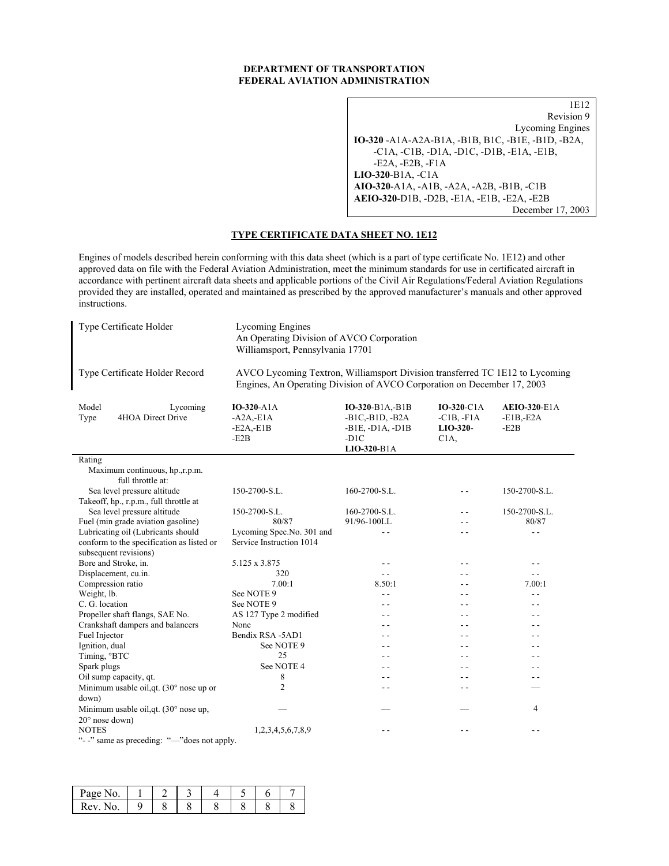### **DEPARTMENT OF TRANSPORTATION FEDERAL AVIATION ADMINISTRATION**

1E12 Revision 9 Lycoming Engines **IO-320** -A1A-A2A-B1A, -B1B, B1C, -B1E, -B1D, -B2A, -C1A, -C1B, -D1A, -D1C, -D1B, -E1A, -E1B, -E2A, -E2B, -F1A **LIO-320**-B1A, -C1A **AIO-320**-A1A, -A1B, -A2A, -A2B, -B1B, -C1B **AEIO-320**-D1B, -D2B, -E1A, -E1B, -E2A, -E2B December 17, 2003

# **TYPE CERTIFICATE DATA SHEET NO. 1E12**

Engines of models described herein conforming with this data sheet (which is a part of type certificate No. 1E12) and other approved data on file with the Federal Aviation Administration, meet the minimum standards for use in certificated aircraft in accordance with pertinent aircraft data sheets and applicable portions of the Civil Air Regulations/Federal Aviation Regulations provided they are installed, operated and maintained as prescribed by the approved manufacturer's manuals and other approved instructions.

| Type Certificate Holder                                                                                                                                                                   | <b>Lycoming Engines</b><br>An Operating Division of AVCO Corporation<br>Williamsport, Pennsylvania 17701 |                                                                                    |                                               |                                              |  |  |  |  |
|-------------------------------------------------------------------------------------------------------------------------------------------------------------------------------------------|----------------------------------------------------------------------------------------------------------|------------------------------------------------------------------------------------|-----------------------------------------------|----------------------------------------------|--|--|--|--|
| Type Certificate Holder Record<br>AVCO Lycoming Textron, Williamsport Division transferred TC 1E12 to Lycoming<br>Engines, An Operating Division of AVCO Corporation on December 17, 2003 |                                                                                                          |                                                                                    |                                               |                                              |  |  |  |  |
| Model<br>Lycoming<br>4HOA Direct Drive<br>Type                                                                                                                                            | IO-320-A1A<br>$-AA$ <sub>-E1A</sub><br>$-E2A, -E1B$<br>$-E2B$                                            | IO-320-B1A,-B1B<br>$-B1C,-B1D,-B2A$<br>$-B1E, -D1A, -D1B$<br>$-D1C$<br>LIO-320-B1A | IO-320-C1A<br>$-C1B, -F1A$<br>LIO-320-<br>C1A | <b>AEIO-320-E1A</b><br>$-E1B, E2A$<br>$-E2B$ |  |  |  |  |
| Rating                                                                                                                                                                                    |                                                                                                          |                                                                                    |                                               |                                              |  |  |  |  |
| Maximum continuous, hp.,r.p.m.<br>full throttle at:                                                                                                                                       |                                                                                                          |                                                                                    |                                               |                                              |  |  |  |  |
| Sea level pressure altitude                                                                                                                                                               | 150-2700-S.L.                                                                                            | 160-2700-S.L.                                                                      |                                               | 150-2700-S.L.                                |  |  |  |  |
| Takeoff, hp., r.p.m., full throttle at                                                                                                                                                    |                                                                                                          |                                                                                    |                                               |                                              |  |  |  |  |
| Sea level pressure altitude                                                                                                                                                               | 150-2700-S.L.                                                                                            | 160-2700-S.L.                                                                      | - -                                           | 150-2700-S.L.                                |  |  |  |  |
| Fuel (min grade aviation gasoline)                                                                                                                                                        | 80/87                                                                                                    | 91/96-100LL                                                                        | - -                                           | 80/87                                        |  |  |  |  |
| Lubricating oil (Lubricants should                                                                                                                                                        | Lycoming Spec.No. 301 and                                                                                | $=$ $=$                                                                            | - -                                           | $ -$                                         |  |  |  |  |
| conform to the specification as listed or                                                                                                                                                 | Service Instruction 1014                                                                                 |                                                                                    |                                               |                                              |  |  |  |  |
| subsequent revisions)                                                                                                                                                                     |                                                                                                          |                                                                                    |                                               |                                              |  |  |  |  |
| Bore and Stroke, in.                                                                                                                                                                      | 5.125 x 3.875                                                                                            | - -                                                                                | - -                                           | - -                                          |  |  |  |  |
| Displacement, cu.in.                                                                                                                                                                      | 320                                                                                                      | $ -$                                                                               | $\overline{\phantom{a}}$                      | $ -$                                         |  |  |  |  |
| Compression ratio                                                                                                                                                                         | 7.00:1                                                                                                   | 8.50:1                                                                             | $ -$                                          | 7.00:1                                       |  |  |  |  |
| Weight, lb.                                                                                                                                                                               | See NOTE 9                                                                                               | $-$                                                                                | - -                                           | $-$                                          |  |  |  |  |
| C. G. location                                                                                                                                                                            | See NOTE 9                                                                                               | - -                                                                                | $ -$                                          | - -                                          |  |  |  |  |
| Propeller shaft flangs, SAE No.                                                                                                                                                           | AS 127 Type 2 modified                                                                                   | $-$                                                                                | $ -$                                          |                                              |  |  |  |  |
| Crankshaft dampers and balancers                                                                                                                                                          | None                                                                                                     | - -                                                                                | $ -$                                          | - -                                          |  |  |  |  |
| Fuel Injector                                                                                                                                                                             | Bendix RSA -5AD1                                                                                         | - -                                                                                | $ -$                                          | - -                                          |  |  |  |  |
| Ignition, dual                                                                                                                                                                            | See NOTE 9                                                                                               | - -                                                                                | - -                                           |                                              |  |  |  |  |
| Timing, °BTC                                                                                                                                                                              | 25                                                                                                       | . .                                                                                |                                               |                                              |  |  |  |  |
| Spark plugs                                                                                                                                                                               | See NOTE 4                                                                                               | - -                                                                                | $ -$                                          |                                              |  |  |  |  |
| Oil sump capacity, qt.                                                                                                                                                                    | 8                                                                                                        | $\overline{\phantom{0}}$                                                           | $-$                                           |                                              |  |  |  |  |
| Minimum usable oil, qt. $(30^{\circ} \text{ nose up or})$                                                                                                                                 | $\overline{2}$                                                                                           | - -                                                                                | - -                                           |                                              |  |  |  |  |
| down)                                                                                                                                                                                     |                                                                                                          |                                                                                    |                                               |                                              |  |  |  |  |
| Minimum usable oil, qt. (30° nose up,                                                                                                                                                     |                                                                                                          |                                                                                    |                                               | 4                                            |  |  |  |  |
| 20° nose down)                                                                                                                                                                            |                                                                                                          |                                                                                    |                                               |                                              |  |  |  |  |
| <b>NOTES</b>                                                                                                                                                                              | 1,2,3,4,5,6,7,8,9                                                                                        |                                                                                    |                                               |                                              |  |  |  |  |
| "--" same as preceding: "-"does not apply.                                                                                                                                                |                                                                                                          |                                                                                    |                                               |                                              |  |  |  |  |

| No.<br>Page             |  |  |  |  |
|-------------------------|--|--|--|--|
| kev<br>ے ر<br>۹U.<br>٠. |  |  |  |  |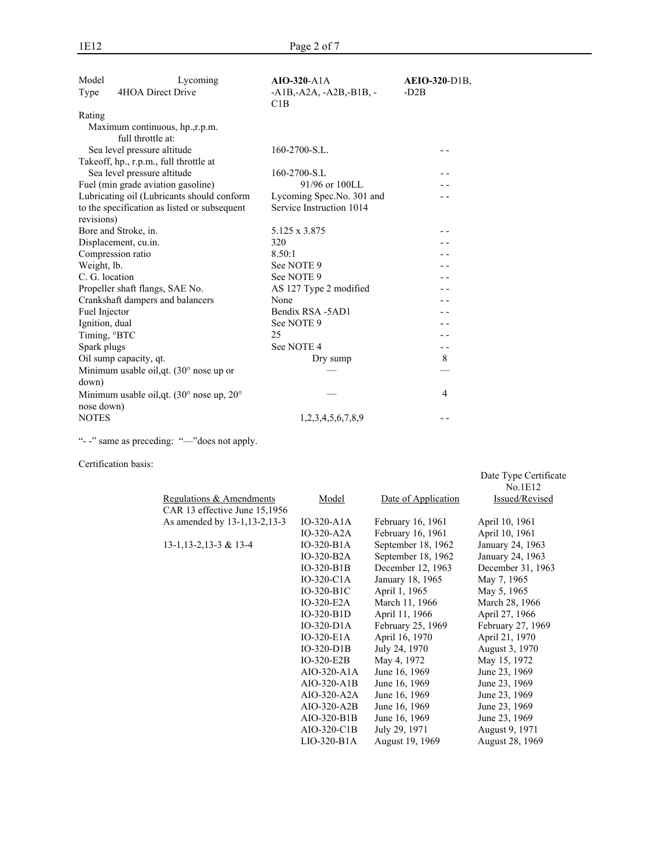| Model<br>Type     | Lycoming<br>4HOA Direct Drive                | $AIO-320-A1A$<br>$-A1B, -A2A, -A2B, -B1B, -$<br>C1B | <b>AEIO-320-D1B.</b><br>$-D2B$ |
|-------------------|----------------------------------------------|-----------------------------------------------------|--------------------------------|
| Rating            |                                              |                                                     |                                |
|                   | Maximum continuous, hp.,r.p.m.               |                                                     |                                |
|                   | full throttle at:                            |                                                     |                                |
|                   | Sea level pressure altitude                  | 160-2700-S.L.                                       |                                |
|                   | Takeoff, hp., r.p.m., full throttle at       |                                                     |                                |
|                   | Sea level pressure altitude                  | 160-2700-S.L                                        |                                |
|                   | Fuel (min grade aviation gasoline)           | 91/96 or 100LL                                      |                                |
|                   | Lubricating oil (Lubricants should conform   | Lycoming Spec.No. 301 and                           |                                |
|                   | to the specification as listed or subsequent | Service Instruction 1014                            |                                |
| revisions)        |                                              |                                                     |                                |
|                   | Bore and Stroke, in.                         | 5.125 x 3.875                                       |                                |
|                   | Displacement, cu.in.                         | 320                                                 |                                |
| Compression ratio |                                              | 8.50:1                                              |                                |
| Weight, lb.       |                                              | See NOTE 9                                          |                                |
| C. G. location    |                                              | See NOTE 9                                          |                                |
|                   | Propeller shaft flangs, SAE No.              | AS 127 Type 2 modified                              |                                |
|                   | Crankshaft dampers and balancers             | None                                                |                                |
| Fuel Injector     |                                              | Bendix RSA -5AD1                                    |                                |
| Ignition, dual    |                                              | See NOTE 9                                          |                                |
| Timing, °BTC      |                                              | 25                                                  |                                |
| Spark plugs       |                                              | See NOTE 4                                          | - -                            |
|                   | Oil sump capacity, qt.                       | Dry sump                                            | 8                              |
|                   | Minimum usable oil, qt. (30° nose up or      |                                                     |                                |
| down)             |                                              |                                                     |                                |
|                   | Minimum usable oil, qt. (30° nose up, 20°    |                                                     | 4                              |
| nose down)        |                                              |                                                     |                                |
| <b>NOTES</b>      |                                              | 1,2,3,4,5,6,7,8,9                                   |                                |

"- -" same as preceding: "—"does not apply.

Certification basis:

|                                |                |                     | No.1E12           |
|--------------------------------|----------------|---------------------|-------------------|
| Regulations & Amendments       | Model          | Date of Application | Issued/Revised    |
| CAR 13 effective June 15,1956  |                |                     |                   |
| As amended by 13-1, 13-2, 13-3 | $IO-320- A1A$  | February 16, 1961   | April 10, 1961    |
|                                | $IO-320- A2A$  | February 16, 1961   | April 10, 1961    |
| $13-1, 13-2, 13-3 & 13-4$      | $IO-320-B1A$   | September 18, 1962  | January 24, 1963  |
|                                | $IO-320-B2A$   | September 18, 1962  | January 24, 1963  |
|                                | $IO-320-B1B$   | December 12, 1963   | December 31, 1963 |
|                                | $IO-320-ClA$   | January 18, 1965    | May 7, 1965       |
|                                | IO-320-B1C     | April 1, 1965       | May 5, 1965       |
|                                | IO-320-E2A     | March 11, 1966      | March 28, 1966    |
|                                | $IO-320-B1D$   | April 11, 1966      | April 27, 1966    |
|                                | $IO-320-D1A$   | February 25, 1969   | February 27, 1969 |
|                                | $IO-320-E1A$   | April 16, 1970      | April 21, 1970    |
|                                | $IO-320-D1B$   | July 24, 1970       | August 3, 1970    |
|                                | $IO-320-E2B$   | May 4, 1972         | May 15, 1972      |
|                                | $AIO-320- A1A$ | June 16, 1969       | June 23, 1969     |
|                                | AIO-320-A1B    | June 16, 1969       | June 23, 1969     |
|                                | $AIO-320- A2A$ | June 16, 1969       | June 23, 1969     |
|                                | AIO-320-A2B    | June 16, 1969       | June 23, 1969     |
|                                | AIO-320-B1B    | June 16, 1969       | June 23, 1969     |
|                                | AIO-320-C1B    | July 29, 1971       | August 9, 1971    |
|                                | $LIO-320-B1A$  | August 19, 1969     | August 28, 1969   |

Date Type Certificate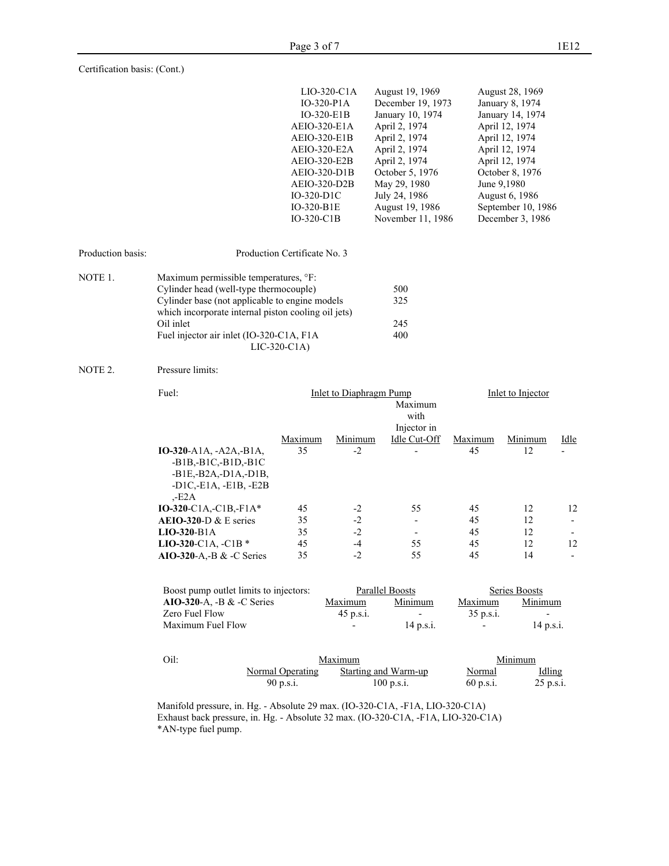| $LIO-320-C1A$ | August 19, 1969   | August 28, 1969    |
|---------------|-------------------|--------------------|
| $IO-320-PIA$  | December 19, 1973 | January 8, 1974    |
| IO-320-E1B    | January 10, 1974  | January 14, 1974   |
| AEIO-320-E1A  | April 2, 1974     | April 12, 1974     |
| AEIO-320-E1B  | April 2, 1974     | April 12, 1974     |
| AEIO-320-E2A  | April 2, 1974     | April 12, 1974     |
| AEIO-320-E2B  | April 2, 1974     | April 12, 1974     |
| AEIO-320-D1B  | October 5, 1976   | October 8, 1976    |
| AEIO-320-D2B  | May 29, 1980      | June 9,1980        |
| $IO-320-D1C$  | July 24, 1986     | August 6, 1986     |
| IO-320-B1E    | August 19, 1986   | September 10, 1986 |
| $IO-320-ClB$  | November 11, 1986 | December 3, 1986   |
|               |                   |                    |

| Production basis: | Production Certificate No. 3                                                                                                                                                                                                                      |                          |
|-------------------|---------------------------------------------------------------------------------------------------------------------------------------------------------------------------------------------------------------------------------------------------|--------------------------|
| NOTE 1.           | Maximum permissible temperatures, °F:<br>Cylinder head (well-type thermocouple)<br>Cylinder base (not applicable to engine models<br>which incorporate internal piston cooling oil jets)<br>Oil inlet<br>Fuel injector air inlet (IO-320-C1A, F1A | 500<br>325<br>245<br>400 |

LIC-320-C1A)

### NOTE 2. Pressure limits:

| Fuel:                             |         | Inlet to Diaphragm Pump | Inlet to Injector |         |         |      |
|-----------------------------------|---------|-------------------------|-------------------|---------|---------|------|
|                                   |         |                         |                   |         |         |      |
|                                   |         |                         | with              |         |         |      |
|                                   |         |                         | Injector in       |         |         |      |
|                                   | Maximum | Minimum                 | Idle Cut-Off      | Maximum | Minimum | Idle |
| $IO-320-A1A, -A2A,-B1A,$          | 35      | $-2$                    |                   | 45      | 12      |      |
| $-B1B, -B1C, -B1D, -B1C$          |         |                         |                   |         |         |      |
| $-B1E,-B2A,-D1A,-D1B$             |         |                         |                   |         |         |      |
| $-D1C$ , $-E1A$ , $-E1B$ , $-E2B$ |         |                         |                   |         |         |      |
| $-E2A$                            |         |                         |                   |         |         |      |
| $IO-320-ClA,-ClB,-F1A*$           | 45      | $-2$                    | 55                | 45      | 12      | 12   |
| $A EIO-320-D & E$ series          | 35      | $-2$                    |                   | 45      | 12      |      |
| $LIO-320-B1A$                     | 35      | $-2$                    |                   | 45      | 12      |      |
| LIO-320-C1A, $-C1B*$              | 45      | $-4$                    | 55                | 45      | 12      | 12   |
| $AIO-320-A.-B & C Series$         | 35      | $-2$                    | 55                | 45      | 14      |      |
|                                   |         |                         |                   |         |         |      |

| Boost pump outlet limits to injectors: | Parallel Boosts |             | Series Boosts |                          |  |
|----------------------------------------|-----------------|-------------|---------------|--------------------------|--|
| $AIO-320-A$ , -B & -C Series           | Maximum         | Minimum     | Maximum       | Minimum                  |  |
| Zero Fuel Flow                         | $45$ p.s.i.     | ۰.          | $35$ p.s.i.   | $\overline{\phantom{0}}$ |  |
| Maximum Fuel Flow                      | $\,$            | $14$ p.s.i. | ٠             | $14$ p.s.i.              |  |

| Oil: |                  | Maximum              |             |                      |  |
|------|------------------|----------------------|-------------|----------------------|--|
|      | Normal Operating | Starting and Warm-up | Normal      | Idling               |  |
|      | 90 p.s.i.        | 100 p.s.i.           | $60$ p.s.i. | $25 \text{ p.s.}$ i. |  |

Manifold pressure, in. Hg. - Absolute 29 max. (IO-320-C1A, -F1A, LIO-320-C1A) Exhaust back pressure, in. Hg. - Absolute 32 max. (IO-320-C1A, -F1A, LIO-320-C1A) \*AN-type fuel pump.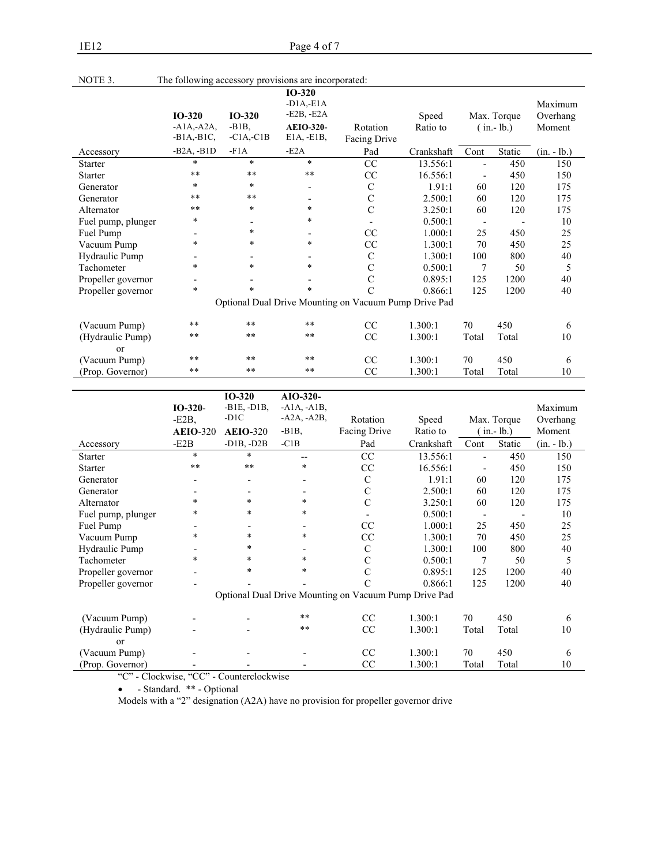| NOTE 3.                | The following accessory provisions are incorporated: |                                      |                                                                              |                                                       |                   |                          |                            |                               |
|------------------------|------------------------------------------------------|--------------------------------------|------------------------------------------------------------------------------|-------------------------------------------------------|-------------------|--------------------------|----------------------------|-------------------------------|
|                        | $IO-320$<br>$-A1A,-A2A$<br>$-B1A,-B1C,$              | $IO-320$<br>$-B1B$ .<br>$-C1A, -C1B$ | $IO-320$<br>$-D1A, -E1A$<br>$-E2B, -E2A$<br><b>AEIO-320-</b><br>$E1A, -E1B,$ | Rotation<br>Facing Drive                              | Speed<br>Ratio to |                          | Max. Torque<br>$(in.-lb.)$ | Maximum<br>Overhang<br>Moment |
| Accessory              | $-B2A, -B1D$                                         | $-F1A$                               | $-E2A$                                                                       | Pad                                                   | Crankshaft        | Cont                     | Static                     | $(in. - lb.)$                 |
| Starter                | $\ast$                                               | $\ast$                               | $\ast$                                                                       | CC                                                    | 13.556:1          |                          | 450                        | 150                           |
| <b>Starter</b>         | $* *$                                                | **                                   | $***$                                                                        | CC                                                    | 16.556:1          | $\overline{\phantom{a}}$ | 450                        | 150                           |
| Generator              | $\ast$                                               | $\ast$                               | $\overline{\phantom{a}}$                                                     | $\mathbf C$                                           | 1.91:1            | 60                       | 120                        | 175                           |
| Generator              | $* *$                                                | **                                   |                                                                              | $\mathbf C$                                           | 2.500:1           | 60                       | 120                        | 175                           |
| Alternator             | $**$                                                 | *                                    | $\ast$                                                                       | $\mathbf C$                                           | 3.250:1           | 60                       | 120                        | 175                           |
| Fuel pump, plunger     | $\ast$                                               |                                      | $\ast$                                                                       |                                                       | 0.500:1           |                          |                            | 10                            |
| Fuel Pump              |                                                      | $\ast$                               |                                                                              | CC                                                    | 1.000:1           | 25                       | 450                        | 25                            |
| Vacuum Pump            | *                                                    | $\ast$                               | $\ast$                                                                       | CC                                                    | 1.300:1           | 70                       | 450                        | 25                            |
| Hydraulic Pump         | $\overline{\phantom{a}}$                             |                                      |                                                                              | C                                                     | 1.300:1           | 100                      | 800                        | 40                            |
| Tachometer             | *                                                    | *                                    | $\ast$                                                                       | $\mathcal{C}$                                         | 0.500:1           | 7                        | 50                         | 5                             |
| Propeller governor     |                                                      |                                      |                                                                              | $\mathbf C$                                           | 0.895:1           | 125                      | 1200                       | 40                            |
| Propeller governor     | $\ast$                                               | $\ast$                               | $\ast$                                                                       | $\mathcal{C}$                                         | 0.866:1           | 125                      | 1200                       | 40                            |
|                        |                                                      |                                      |                                                                              | Optional Dual Drive Mounting on Vacuum Pump Drive Pad |                   |                          |                            |                               |
| (Vacuum Pump)          | $* *$                                                | $\star\star$                         | $**$                                                                         | CC                                                    | 1.300:1           | 70                       | 450                        | 6                             |
| (Hydraulic Pump)<br>or | $* *$                                                | $\star\star$                         | $\star\star$                                                                 | CC                                                    | 1.300:1           | Total                    | Total                      | 10                            |
| (Vacuum Pump)          | $* *$                                                | $* *$                                | $**$                                                                         | CC                                                    | 1.300:1           | 70                       | 450                        | 6                             |
| (Prop. Governor)       | $\ast\ast$                                           | $* *$                                | $**$                                                                         | CC                                                    | 1.300:1           | Total                    | Total                      | 10                            |

|                        | $IO-320-$       | $IO-320$<br>$-B1E, -D1B,$ | $AIO-320-$<br>$-A1A$ , $-A1B$ , |                                                       |            |                          |             | Maximum       |
|------------------------|-----------------|---------------------------|---------------------------------|-------------------------------------------------------|------------|--------------------------|-------------|---------------|
|                        | $-E2B$ ,        | $-D1C$                    | $-A2A, -A2B,$                   | Rotation                                              | Speed      |                          | Max. Torque | Overhang      |
|                        | <b>AEIO-320</b> | $AEIO-320$                | $-B1B$ ,                        | Facing Drive                                          | Ratio to   |                          | $(in.-lb.)$ | Moment        |
| Accessory              | $-E2B$          | $-D1B, -D2B$              | $-C1B$                          | Pad                                                   | Crankshaft | Cont                     | Static      | $(in. - lb.)$ |
| <b>Starter</b>         | $\ast$          | $*$                       | $-$                             | CC                                                    | 13.556:1   | $\blacksquare$           | 450         | 150           |
| <b>Starter</b>         | **              | **                        | $\ast$                          | CC                                                    | 16.556:1   |                          | 450         | 150           |
| Generator              |                 |                           |                                 | $\mathbf C$                                           | 1.91:1     | 60                       | 120         | 175           |
| Generator              |                 |                           |                                 | C                                                     | 2.500:1    | 60                       | 120         | 175           |
| Alternator             | $\ast$          | $\ast$                    | $\ast$                          | $\mathcal{C}$                                         | 3.250:1    | 60                       | 120         | 175           |
| Fuel pump, plunger     | $\ast$          | $\ast$                    | $\ast$                          |                                                       | 0.500:1    | $\overline{\phantom{a}}$ |             | 10            |
| Fuel Pump              |                 |                           |                                 | CC                                                    | 1.000:1    | 25                       | 450         | 25            |
| Vacuum Pump            | $\ast$          | $\ast$                    | $\ast$                          | CC                                                    | 1.300:1    | 70                       | 450         | 25            |
| Hydraulic Pump         |                 | $\ast$                    |                                 | $\mathcal{C}$                                         | 1.300:1    | 100                      | 800         | 40            |
| Tachometer             | $\ast$          | $\ast$                    | $\ast$                          | C                                                     | 0.500:1    | 7                        | 50          | 5             |
| Propeller governor     |                 | $\ast$                    | $\ast$                          | C                                                     | 0.895:1    | 125                      | 1200        | 40            |
| Propeller governor     |                 |                           |                                 |                                                       | 0.866:1    | 125                      | 1200        | 40            |
|                        |                 |                           |                                 | Optional Dual Drive Mounting on Vacuum Pump Drive Pad |            |                          |             |               |
| (Vacuum Pump)          |                 |                           | $***$                           | CC                                                    | 1.300:1    | 70                       | 450         | 6             |
| (Hydraulic Pump)<br>or |                 |                           | $***$                           | CC                                                    | 1.300:1    | Total                    | Total       | 10            |
| (Vacuum Pump)          |                 |                           |                                 | CC                                                    | 1.300:1    | 70                       | 450         | 6             |
| (Prop. Governor)       |                 |                           |                                 | CC                                                    | 1.300:1    | Total                    | Total       | 10            |

"C" - Clockwise, "CC" - Counterclockwise

• - Standard. \*\* - Optional

Models with a "2" designation (A2A) have no provision for propeller governor drive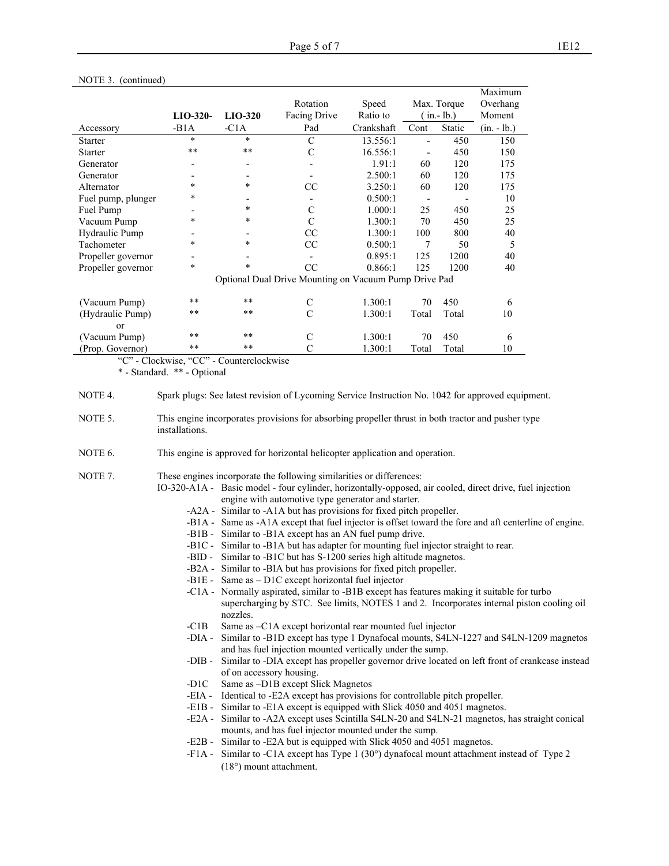|                    |            |                          |                                                       |            |                          |             | Maximum       |
|--------------------|------------|--------------------------|-------------------------------------------------------|------------|--------------------------|-------------|---------------|
|                    |            |                          | Rotation                                              | Speed      |                          | Max. Torque | Overhang      |
|                    | $LIO-320-$ | $LIO-320$                | Facing Drive                                          | Ratio to   |                          | $(in.-1b.)$ | Moment        |
| Accessory          | $-B1A$     | $-C1A$                   | Pad                                                   | Crankshaft | Cont                     | Static      | $(in. - lb.)$ |
| <b>Starter</b>     | $\ast$     | $\star$                  | C                                                     | 13.556:1   | $\overline{\phantom{0}}$ | 450         | 150           |
| <b>Starter</b>     | **         | $**$                     | C                                                     | 16.556:1   |                          | 450         | 150           |
| Generator          |            |                          |                                                       | 1.91:1     | 60                       | 120         | 175           |
| Generator          |            | $\overline{\phantom{a}}$ |                                                       | 2.500:1    | 60                       | 120         | 175           |
| Alternator         | $\ast$     | $\star$                  | <sub>CC</sub>                                         | 3.250:1    | 60                       | 120         | 175           |
| Fuel pump, plunger | *          |                          |                                                       | 0.500:1    |                          |             | 10            |
| Fuel Pump          |            | $\ast$                   | $\mathcal{C}$                                         | 1.000:1    | 25                       | 450         | 25            |
| Vacuum Pump        | ÷          | $\ast$                   | $\mathcal{C}$                                         | 1.300:1    | 70                       | 450         | 25            |
| Hydraulic Pump     |            |                          | CC                                                    | 1.300:1    | 100                      | 800         | 40            |
| Tachometer         | $\ast$     | $\star$                  | CC                                                    | 0.500:1    | 7                        | 50          | 5             |
| Propeller governor |            |                          |                                                       | 0.895:1    | 125                      | 1200        | 40            |
| Propeller governor | $\ast$     | $\star$                  | CC                                                    | 0.866:1    | 125                      | 1200        | 40            |
|                    |            |                          | Optional Dual Drive Mounting on Vacuum Pump Drive Pad |            |                          |             |               |
| (Vacuum Pump)      | $**$       | $**$                     | C                                                     | 1.300:1    | 70                       | 450         | 6             |
| (Hydraulic Pump)   | $**$       | $***$                    | C                                                     | 1.300:1    | Total                    | Total       | 10            |
| $\alpha$           |            |                          |                                                       |            |                          |             |               |
| (Vacuum Pump)      | $**$       | $***$                    | C                                                     | 1.300:1    | 70                       | 450         | 6             |
| (Prop. Governor)   | $**$       | $**$                     | C                                                     | 1.300:1    | Total                    | Total       | 10            |

#### NOTE 3. (continued)

"C" - Clockwise, "CC" - Counterclockwise

\* - Standard. \*\* - Optional

- NOTE 5. This engine incorporates provisions for absorbing propeller thrust in both tractor and pusher type installations.
- NOTE 6. This engine is approved for horizontal helicopter application and operation.
- NOTE 7. These engines incorporate the following similarities or differences:
	- IO-320-A1A Basic model four cylinder, horizontally-opposed, air cooled, direct drive, fuel injection engine with automotive type generator and starter.
		- -A2A Similar to -A1A but has provisions for fixed pitch propeller.
		- -B1A Same as -A1A except that fuel injector is offset toward the fore and aft centerline of engine.
		- -B1B Similar to -B1A except has an AN fuel pump drive.
		- -B1C Similar to -B1A but has adapter for mounting fuel injector straight to rear.
		- -BID Similar to -B1C but has S-1200 series high altitude magnetos.
		- -B2A Similar to -BIA but has provisions for fixed pitch propeller.
		- -B1E Same as D1C except horizontal fuel injector
		- -C1A Normally aspirated, similar to -B1B except has features making it suitable for turbo supercharging by STC. See limits, NOTES 1 and 2. Incorporates internal piston cooling oil nozzles.
		- -C1B Same as –C1A except horizontal rear mounted fuel injector
		- -DIA Similar to -B1D except has type 1 Dynafocal mounts, S4LN-1227 and S4LN-1209 magnetos and has fuel injection mounted vertically under the sump.
		- -DIB Similar to -DIA except has propeller governor drive located on left front of crankcase instead of on accessory housing.
		- -D1C Same as –D1B except Slick Magnetos
		- -EIA Identical to -E2A except has provisions for controllable pitch propeller.
		- -E1B Similar to -E1A except is equipped with Slick 4050 and 4051 magnetos.
		- -E2A Similar to -A2A except uses Scintilla S4LN-20 and S4LN-21 magnetos, has straight conical mounts, and has fuel injector mounted under the sump.
		- -E2B Similar to -E2A but is equipped with Slick 4050 and 4051 magnetos.
		- -F1A Similar to -C1A except has Type 1 (30°) dynafocal mount attachment instead of Type 2 (18°) mount attachment.

NOTE 4. Spark plugs: See latest revision of Lycoming Service Instruction No. 1042 for approved equipment.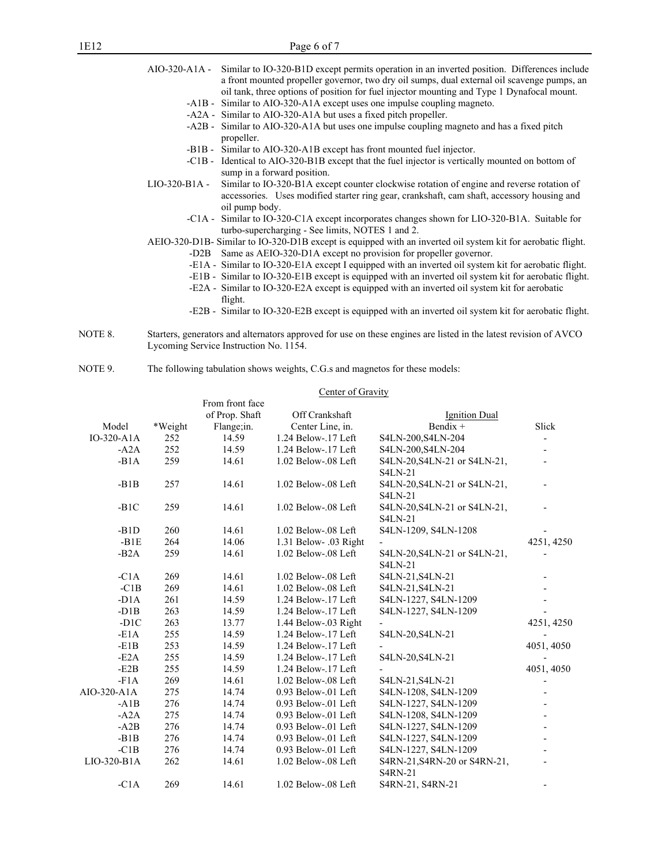## 1E12 Page 6 of 7

|                | AIO-320-A1A - Similar to IO-320-B1D except permits operation in an inverted position. Differences include<br>a front mounted propeller governor, two dry oil sumps, dual external oil scavenge pumps, an<br>oil tank, three options of position for fuel injector mounting and Type 1 Dynafocal mount. |
|----------------|--------------------------------------------------------------------------------------------------------------------------------------------------------------------------------------------------------------------------------------------------------------------------------------------------------|
|                | -A1B - Similar to AIO-320-A1A except uses one impulse coupling magneto.                                                                                                                                                                                                                                |
|                | -A2A - Similar to AIO-320-A1A but uses a fixed pitch propeller.                                                                                                                                                                                                                                        |
|                | -A2B - Similar to AIO-320-A1A but uses one impulse coupling magneto and has a fixed pitch<br>propeller.                                                                                                                                                                                                |
|                | -B1B - Similar to AIO-320-A1B except has front mounted fuel injector.                                                                                                                                                                                                                                  |
| $-C1B -$       | Identical to AIO-320-B1B except that the fuel injector is vertically mounted on bottom of<br>sump in a forward position.                                                                                                                                                                               |
| $LIO-320-B1A-$ | Similar to IO-320-B1A except counter clockwise rotation of engine and reverse rotation of<br>accessories. Uses modified starter ring gear, crankshaft, cam shaft, accessory housing and<br>oil pump body.                                                                                              |
|                | -C1A - Similar to IO-320-C1A except incorporates changes shown for LIO-320-B1A. Suitable for<br>turbo-supercharging - See limits, NOTES 1 and 2.                                                                                                                                                       |
|                | AEIO-320-D1B- Similar to IO-320-D1B except is equipped with an inverted oil system kit for aerobatic flight.                                                                                                                                                                                           |
| -D2B           | Same as AEIO-320-D1A except no provision for propeller governor.                                                                                                                                                                                                                                       |
|                | -E1A - Similar to IO-320-E1A except I equipped with an inverted oil system kit for aerobatic flight.                                                                                                                                                                                                   |
|                | -E1B - Similar to IO-320-E1B except is equipped with an inverted oil system kit for aerobatic flight.                                                                                                                                                                                                  |
|                |                                                                                                                                                                                                                                                                                                        |

- -E2A Similar to IO-320-E2A except is equipped with an inverted oil system kit for aerobatic flight.
- -E2B Similar to IO-320-E2B except is equipped with an inverted oil system kit for aerobatic flight.
- NOTE 8. Starters, generators and alternators approved for use on these engines are listed in the latest revision of AVCO Lycoming Service Instruction No. 1154.
- NOTE 9. The following tabulation shows weights, C.G.s and magnetos for these models:

### Center of Gravity

|               |         | From front face |                       |                              |                          |
|---------------|---------|-----------------|-----------------------|------------------------------|--------------------------|
|               |         | of Prop. Shaft  | Off Crankshaft        | Ignition Dual                |                          |
| Model         | *Weight | Flange;in.      | Center Line, in.      | Bendix +                     | Slick                    |
| $IO-320- A1A$ | 252     | 14.59           | 1.24 Below-.17 Left   | S4LN-200, S4LN-204           | $\overline{\phantom{0}}$ |
| $-A2A$        | 252     | 14.59           | 1.24 Below-.17 Left   | S4LN-200, S4LN-204           |                          |
| $-B1A$        | 259     | 14.61           | 1.02 Below-.08 Left   | S4LN-20, S4LN-21 or S4LN-21, | $\overline{\phantom{a}}$ |
|               |         |                 |                       | <b>S4LN-21</b>               |                          |
| $-B1B$        | 257     | 14.61           | 1.02 Below-.08 Left   | S4LN-20, S4LN-21 or S4LN-21, |                          |
|               |         |                 |                       | <b>S4LN-21</b>               |                          |
| $-B1C$        | 259     | 14.61           | 1.02 Below-.08 Left   | S4LN-20, S4LN-21 or S4LN-21, |                          |
|               |         |                 |                       | <b>S4LN-21</b>               |                          |
| $-B1D$        | 260     | 14.61           | $1.02$ Below-.08 Left | S4LN-1209, S4LN-1208         |                          |
| $-B1E$        | 264     | 14.06           | 1.31 Below- .03 Right |                              | 4251, 4250               |
| $-B2A$        | 259     | 14.61           | 1.02 Below-.08 Left   | S4LN-20, S4LN-21 or S4LN-21, |                          |
|               |         |                 |                       | <b>S4LN-21</b>               |                          |
| $-C1A$        | 269     | 14.61           | 1.02 Below-.08 Left   | S4LN-21, S4LN-21             |                          |
| $-C1B$        | 269     | 14.61           | 1.02 Below-.08 Left   | S4LN-21, S4LN-21             |                          |
| $-D1A$        | 261     | 14.59           | 1.24 Below-.17 Left   | S4LN-1227, S4LN-1209         |                          |
| $-D1B$        | 263     | 14.59           | 1.24 Below-.17 Left   | S4LN-1227, S4LN-1209         |                          |
| $-D1C$        | 263     | 13.77           | 1.44 Below-.03 Right  |                              | 4251, 4250               |
| $-E1A$        | 255     | 14.59           | 1.24 Below-.17 Left   | S4LN-20, S4LN-21             |                          |
| $-E1B$        | 253     | 14.59           | 1.24 Below-.17 Left   |                              | 4051, 4050               |
| $-E2A$        | 255     | 14.59           | 1.24 Below-.17 Left   | S4LN-20, S4LN-21             |                          |
| $-E2B$        | 255     | 14.59           | 1.24 Below-.17 Left   |                              | 4051, 4050               |
| $-F1A$        | 269     | 14.61           | $1.02$ Below-.08 Left | S4LN-21, S4LN-21             | $\overline{\phantom{a}}$ |
| AIO-320-A1A   | 275     | 14.74           | 0.93 Below-.01 Left   | S4LN-1208, S4LN-1209         |                          |
| $-A1B$        | 276     | 14.74           | $0.93$ Below-.01 Left | S4LN-1227, S4LN-1209         |                          |
| $-AA$         | 275     | 14.74           | $0.93$ Below-.01 Left | S4LN-1208, S4LN-1209         |                          |
| $-A2B$        | 276     | 14.74           | $0.93$ Below-.01 Left | S4LN-1227, S4LN-1209         |                          |
| $-B1B$        | 276     | 14.74           | $0.93$ Below-.01 Left | S4LN-1227, S4LN-1209         |                          |
| $-C1B$        | 276     | 14.74           | $0.93$ Below-.01 Left | S4LN-1227, S4LN-1209         |                          |
| LIO-320-B1A   | 262     | 14.61           | 1.02 Below-.08 Left   | S4RN-21, S4RN-20 or S4RN-21, |                          |
|               |         |                 |                       | <b>S4RN-21</b>               |                          |
| $-C1A$        | 269     | 14.61           | 1.02 Below-.08 Left   | S4RN-21, S4RN-21             | $\overline{\phantom{a}}$ |